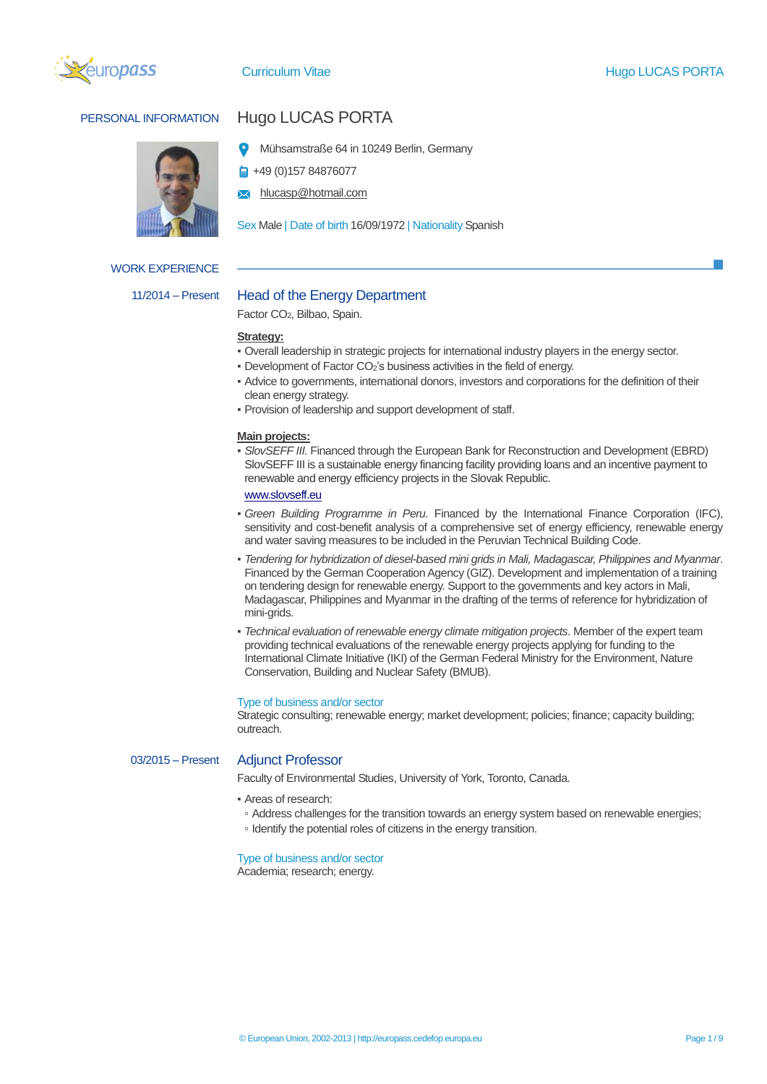



## WORK EXPERIENCE

# PERSONAL INFORMATION Hugo LUCAS PORTA

- Mühsamstraße 64 in 10249 Berlin, Germany
- +49 (0)157 84876077
- hlucasp@hotmail.com

Sex Male | Date of birth 16/09/1972 | Nationality Spanish

## 11/2014 – Present Head of the Energy Department

Factor CO2, Bilbao, Spain.

## **Strategy:**

- Overall leadership in strategic projects for international industry players in the energy sector.
- Development of Factor CO2's business activities in the field of energy.
- Advice to governments, international donors, investors and corporations for the definition of their clean energy strategy.
- Provision of leadership and support development of staff.

#### **Main projects:**

▪ *SlovSEFF III.* Financed through the European Bank for Reconstruction and Development (EBRD) SlovSEFF III is a sustainable energy financing facility providing loans and an incentive payment to renewable and energy efficiency projects in the Slovak Republic.

#### [www.slovseff.eu](http://www.slovseff.eu/)

- *Green Building Programme in Peru.* Financed by the International Finance Corporation (IFC), sensitivity and cost-benefit analysis of a comprehensive set of energy efficiency, renewable energy and water saving measures to be included in the Peruvian Technical Building Code.
- *Tendering for hybridization of diesel-based mini grids in Mali, Madagascar, Philippines and Myanmar*. Financed by the German Cooperation Agency (GIZ). Development and implementation of a training on tendering design for renewable energy. Support to the governments and key actors in Mali, Madagascar, Philippines and Myanmar in the drafting of the terms of reference for hybridization of mini-grids.
- *Technical evaluation of renewable energy climate mitigation projects*. Member of the expert team providing technical evaluations of the renewable energy projects applying for funding to the International Climate Initiative (IKI) of the German Federal Ministry for the Environment, Nature Conservation, Building and Nuclear Safety (BMUB).

#### Type of business and/or sector

Strategic consulting; renewable energy; market development; policies; finance; capacity building; outreach.

## 03/2015 – Present Adjunct Professor

Faculty of Environmental Studies, University of York, Toronto, Canada.

- Areas of research:
	- Address challenges for the transition towards an energy system based on renewable energies;
- Identify the potential roles of citizens in the energy transition.

## Type of business and/or sector

Academia; research; energy.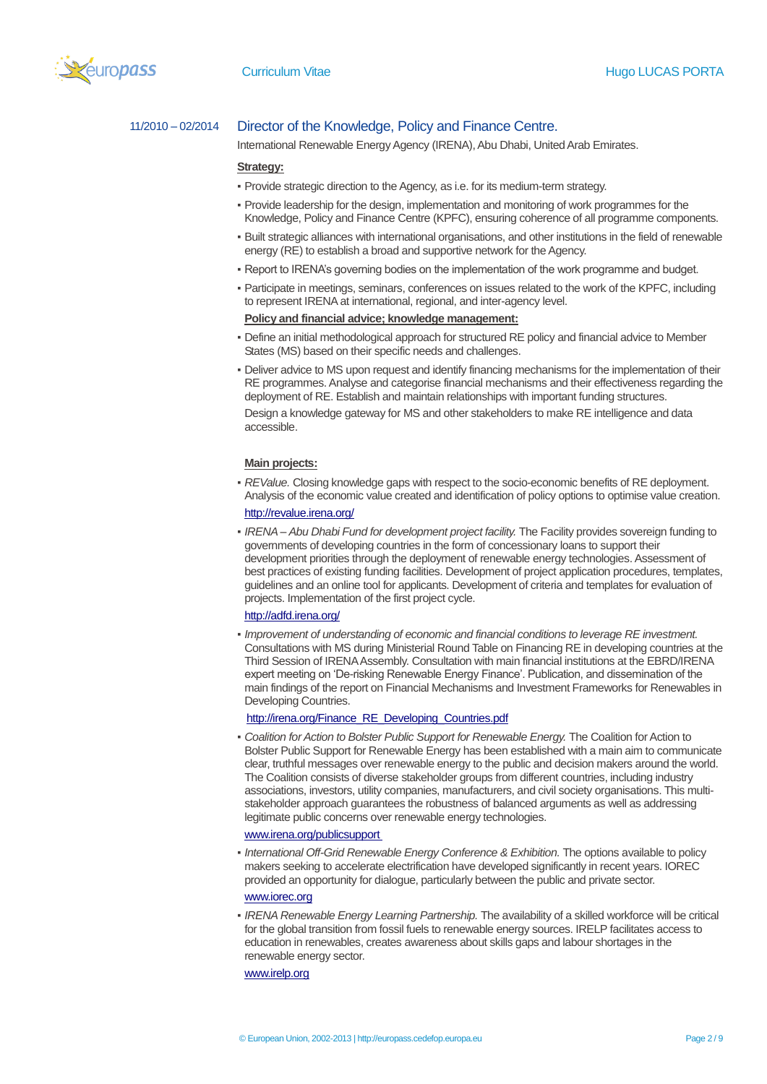

## 11/2010 – 02/2014 Director of the Knowledge, Policy and Finance Centre.

International Renewable Energy Agency (IRENA), Abu Dhabi, United Arab Emirates.

### **Strategy:**

- Provide strategic direction to the Agency, as i.e. for its medium-term strategy.
- Provide leadership for the design, implementation and monitoring of work programmes for the Knowledge, Policy and Finance Centre (KPFC), ensuring coherence of all programme components.
- Built strategic alliances with international organisations, and other institutions in the field of renewable energy (RE) to establish a broad and supportive network for the Agency.
- . Report to IRENA's governing bodies on the implementation of the work programme and budget.
- Participate in meetings, seminars, conferences on issues related to the work of the KPFC, including to represent IRENA at international, regional, and inter-agency level.

## **Policy and financial advice; knowledge management:**

- Define an initial methodological approach for structured RE policy and financial advice to Member States (MS) based on their specific needs and challenges.
- Deliver advice to MS upon request and identify financing mechanisms for the implementation of their RE programmes. Analyse and categorise financial mechanisms and their effectiveness regarding the deployment of RE. Establish and maintain relationships with important funding structures.

Design a knowledge gateway for MS and other stakeholders to make RE intelligence and data accessible.

#### **Main projects:**

- *REValue.* Closing knowledge gaps with respect to the socio-economic benefits of RE deployment. Analysis of the economic value created and identification of policy options to optimise value creation. <http://revalue.irena.org/>
- *IRENA – Abu Dhabi Fund for development project facility.* The Facility provides sovereign funding to governments of developing countries in the form of concessionary loans to support their development priorities through the deployment of renewable energy technologies. Assessment of best practices of existing funding facilities. Development of project application procedures, templates, guidelines and an online tool for applicants. Development of criteria and templates for evaluation of projects. Implementation of the first project cycle.

## <http://adfd.irena.org/>

▪ *Improvement of understanding of economic and financial conditions to leverage RE investment.*  Consultations with MS during Ministerial Round Table on Financing RE in developing countries at the Third Session of IRENA Assembly. Consultation with main financial institutions at the EBRD/IRENA expert meeting on 'De-risking Renewable Energy Finance'. Publication, and dissemination of the main findings of the report on Financial Mechanisms and Investment Frameworks for Renewables in Developing Countries.

#### [http://irena.org/Finance\\_RE\\_Developing\\_Countries.pdf](http://irena.org/Finance_RE_Developing_Countries.pdf)

**• Coalition for Action to Bolster Public Support for Renewable Energy. The Coalition for Action to** Bolster Public Support for Renewable Energy has been established with a main aim to communicate clear, truthful messages over renewable energy to the public and decision makers around the world. The Coalition consists of diverse stakeholder groups from different countries, including industry associations, investors, utility companies, manufacturers, and civil society organisations. This multistakeholder approach guarantees the robustness of balanced arguments as well as addressing legitimate public concerns over renewable energy technologies.

#### [www.irena.org/publicsupport](http://www.irena.org/publicsupport)

▪ *International Off-Grid Renewable Energy Conference & Exhibition.* The options available to policy makers seeking to accelerate electrification have developed significantly in recent years. IOREC provided an opportunity for dialogue, particularly between the public and private sector.

## [www.iorec.org](http://www.iorec.org/)

▪ *IRENA Renewable Energy Learning Partnership.* The availability of a skilled workforce will be critical for the global transition from fossil fuels to renewable energy sources. IRELP facilitates access to education in renewables, creates awareness about skills gaps and labour shortages in the renewable energy sector.

[www.irelp.org](http://www.irelp.org/)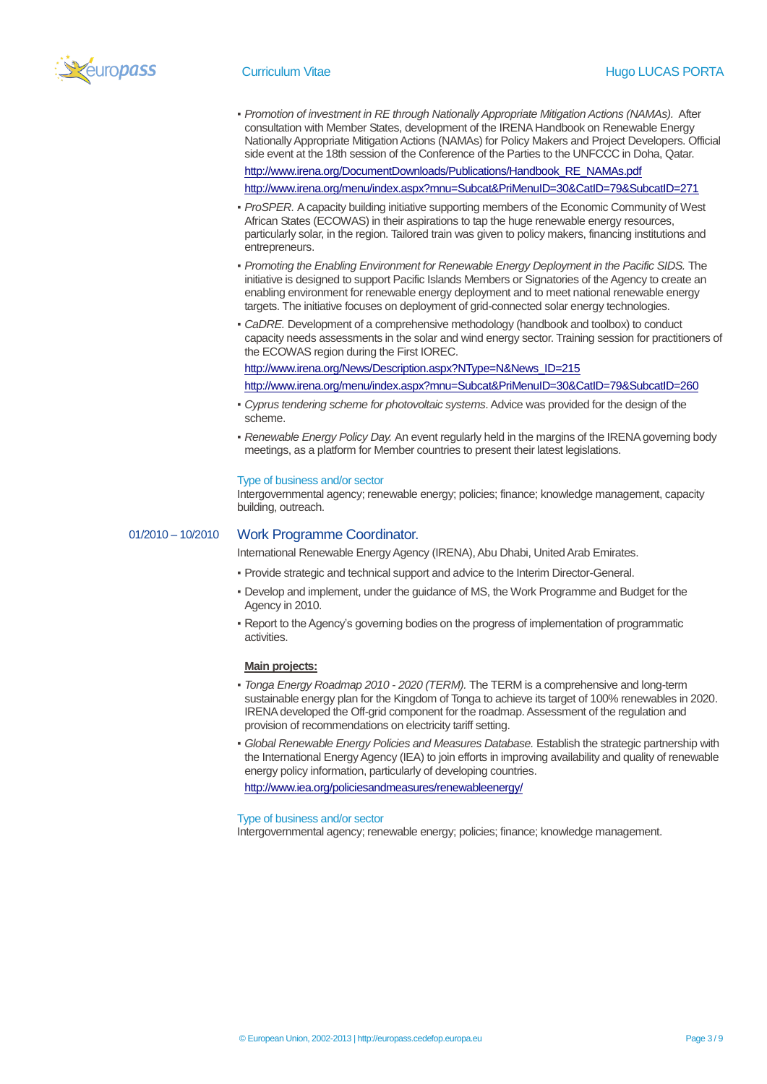

▪ *Promotion of investment in RE through Nationally Appropriate Mitigation Actions (NAMAs).* After consultation with Member States, development of the IRENA Handbook on Renewable Energy Nationally Appropriate Mitigation Actions (NAMAs) for Policy Makers and Project Developers. Official side event at the 18th session of the Conference of the Parties to the UNFCCC in Doha, Qatar.

[http://www.irena.org/DocumentDownloads/Publications/Handbook\\_RE\\_NAMAs.pdf](http://www.irena.org/DocumentDownloads/Publications/Handbook_RE_NAMAs.pdf)

http://www.irena.org/menu/index.aspx?mnu=Subcat&PriMenuID=30&CatID=79&SubcatID=271

- *ProSPER.* A capacity building initiative supporting members of the Economic Community of West African States (ECOWAS) in their aspirations to tap the huge renewable energy resources, particularly solar, in the region. Tailored train was given to policy makers, financing institutions and entrepreneurs.
- *Promoting the Enabling Environment for Renewable Energy Deployment in the Pacific SIDS.* The initiative is designed to support Pacific Islands Members or Signatories of the Agency to create an enabling environment for renewable energy deployment and to meet national renewable energy targets. The initiative focuses on deployment of grid-connected solar energy technologies.
- *CaDRE.* Development of a comprehensive methodology (handbook and toolbox) to conduct capacity needs assessments in the solar and wind energy sector. Training session for practitioners of the ECOWAS region during the First IOREC.

[http://www.irena.org/News/Description.aspx?NType=N&News\\_ID=215](http://www.irena.org/News/Description.aspx?NType=N&News_ID=215)

<http://www.irena.org/menu/index.aspx?mnu=Subcat&PriMenuID=30&CatID=79&SubcatID=260>

- *Cyprus tendering scheme for photovoltaic systems*. Advice was provided for the design of the scheme.
- *Renewable Energy Policy Day.* An event regularly held in the margins of the IRENA governing body meetings, as a platform for Member countries to present their latest legislations.

#### Type of business and/or sector

Intergovernmental agency; renewable energy; policies; finance; knowledge management, capacity building, outreach.

## 01/2010 – 10/2010 Work Programme Coordinator.

International Renewable Energy Agency (IRENA), Abu Dhabi, United Arab Emirates.

- Provide strategic and technical support and advice to the Interim Director-General.
- **Develop and implement, under the guidance of MS, the Work Programme and Budget for the** Agency in 2010.
- **Report to the Agency's governing bodies on the progress of implementation of programmatic** activities.

#### **Main projects:**

- *Tonga Energy Roadmap 2010 - 2020 (TERM).* The TERM is a comprehensive and long-term sustainable energy plan for the Kingdom of Tonga to achieve its target of 100% renewables in 2020. IRENA developed the Off-grid component for the roadmap. Assessment of the regulation and provision of recommendations on electricity tariff setting.
- *Global Renewable Energy Policies and Measures Database.* Establish the strategic partnership with the International Energy Agency (IEA) to join efforts in improving availability and quality of renewable energy policy information, particularly of developing countries.

<http://www.iea.org/policiesandmeasures/renewableenergy/>

Type of business and/or sector

Intergovernmental agency; renewable energy; policies; finance; knowledge management.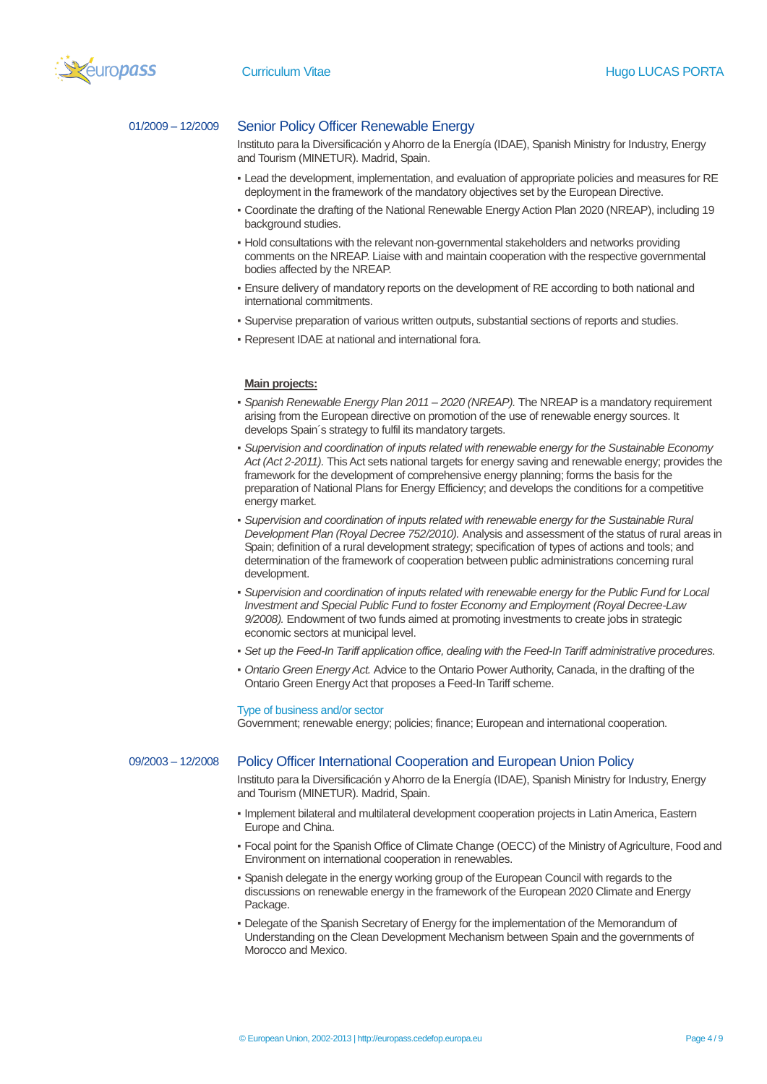

## 01/2009 – 12/2009 Senior Policy Officer Renewable Energy

Instituto para la Diversificación y Ahorro de la Energía (IDAE), Spanish Ministry for Industry, Energy and Tourism (MINETUR). Madrid, Spain.

- Lead the development, implementation, and evaluation of appropriate policies and measures for RE deployment in the framework of the mandatory objectives set by the European Directive.
- Coordinate the drafting of the National Renewable Energy Action Plan 2020 (NREAP), including 19 background studies.
- Hold consultations with the relevant non-governmental stakeholders and networks providing comments on the NREAP. Liaise with and maintain cooperation with the respective governmental bodies affected by the NREAP.
- Ensure delivery of mandatory reports on the development of RE according to both national and international commitments.
- Supervise preparation of various written outputs, substantial sections of reports and studies.
- **Represent IDAE at national and international fora.**

#### **Main projects:**

- *Spanish Renewable Energy Plan 2011 – 2020 (NREAP).* The NREAP is a mandatory requirement arising from the European directive on promotion of the use of renewable energy sources. It develops Spain´s strategy to fulfil its mandatory targets.
- *Supervision and coordination of inputs related with renewable energy for the Sustainable Economy Act (Act 2-2011).* This Act sets national targets for energy saving and renewable energy; provides the framework for the development of comprehensive energy planning; forms the basis for the preparation of National Plans for Energy Efficiency; and develops the conditions for a competitive energy market.
- *Supervision and coordination of inputs related with renewable energy for the Sustainable Rural Development Plan (Royal Decree 752/2010).* Analysis and assessment of the status of rural areas in Spain; definition of a rural development strategy; specification of types of actions and tools; and determination of the framework of cooperation between public administrations concerning rural development.
- *Supervision and coordination of inputs related with renewable energy for the Public Fund for Local Investment and Special Public Fund to foster Economy and Employment (Royal Decree-Law 9/2008).* Endowment of two funds aimed at promoting investments to create jobs in strategic economic sectors at municipal level.
- *Set up the Feed-In Tariff application office, dealing with the Feed-In Tariff administrative procedures.*
- *Ontario Green Energy Act.* Advice to the Ontario Power Authority, Canada, in the drafting of the Ontario Green Energy Act that proposes a Feed-In Tariff scheme.

#### Type of business and/or sector

Government; renewable energy; policies; finance; European and international cooperation.

## 09/2003 – 12/2008 Policy Officer International Cooperation and European Union Policy

Instituto para la Diversificación y Ahorro de la Energía (IDAE), Spanish Ministry for Industry, Energy and Tourism (MINETUR). Madrid, Spain.

- Implement bilateral and multilateral development cooperation projects in Latin America, Eastern Europe and China.
- Focal point for the Spanish Office of Climate Change (OECC) of the Ministry of Agriculture, Food and Environment on international cooperation in renewables.
- Spanish delegate in the energy working group of the European Council with regards to the discussions on renewable energy in the framework of the European 2020 Climate and Energy Package.
- Delegate of the Spanish Secretary of Energy for the implementation of the Memorandum of Understanding on the Clean Development Mechanism between Spain and the governments of Morocco and Mexico.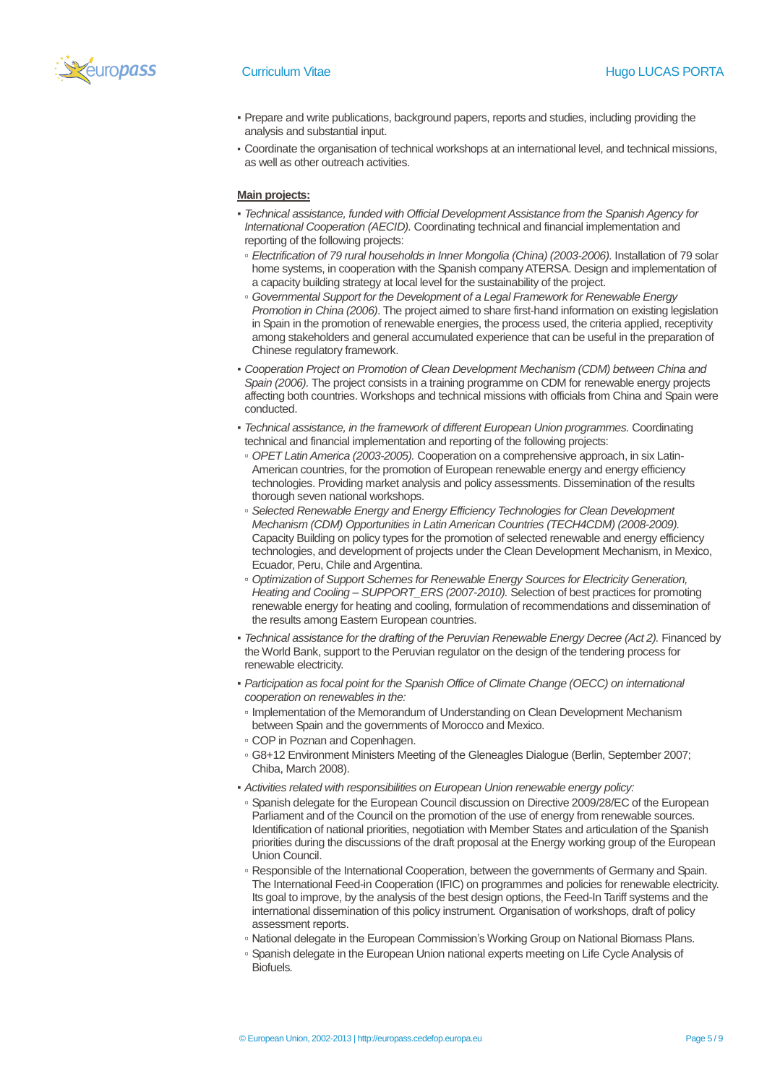

- Prepare and write publications, background papers, reports and studies, including providing the analysis and substantial input.
- Coordinate the organisation of technical workshops at an international level, and technical missions, as well as other outreach activities.

## **Main projects:**

- *Technical assistance, funded with Official Development Assistance from the Spanish Agency for International Cooperation (AECID).* Coordinating technical and financial implementation and reporting of the following projects:
- *Electrification of 79 rural households in Inner Mongolia (China) (2003-2006).* Installation of 79 solar home systems, in cooperation with the Spanish company ATERSA. Design and implementation of a capacity building strategy at local level for the sustainability of the project.
- *Governmental Support for the Development of a Legal Framework for Renewable Energy Promotion in China (2006)*. The project aimed to share first-hand information on existing legislation in Spain in the promotion of renewable energies, the process used, the criteria applied, receptivity among stakeholders and general accumulated experience that can be useful in the preparation of Chinese regulatory framework.
- *Cooperation Project on Promotion of Clean Development Mechanism (CDM) between China and Spain (2006).* The project consists in a training programme on CDM for renewable energy projects affecting both countries. Workshops and technical missions with officials from China and Spain were conducted.
- *Technical assistance, in the framework of different European Union programmes.* Coordinating technical and financial implementation and reporting of the following projects:
- *OPET Latin America (2003-2005).* Cooperation on a comprehensive approach, in six Latin-American countries, for the promotion of European renewable energy and energy efficiency technologies. Providing market analysis and policy assessments. Dissemination of the results thorough seven national workshops.
- *Selected Renewable Energy and Energy Efficiency Technologies for Clean Development Mechanism (CDM) Opportunities in Latin American Countries (TECH4CDM) (2008-2009).*  Capacity Building on policy types for the promotion of selected renewable and energy efficiency technologies, and development of projects under the Clean Development Mechanism, in Mexico, Ecuador, Peru, Chile and Argentina.
- *Optimization of Support Schemes for Renewable Energy Sources for Electricity Generation, Heating and Cooling – SUPPORT\_ERS (2007-2010).* Selection of best practices for promoting renewable energy for heating and cooling, formulation of recommendations and dissemination of the results among Eastern European countries.
- *Technical assistance for the drafting of the Peruvian Renewable Energy Decree (Act 2).* Financed by the World Bank, support to the Peruvian regulator on the design of the tendering process for renewable electricity.
- *Participation as focal point for the Spanish Office of Climate Change (OECC) on international cooperation on renewables in the:*
	- Implementation of the Memorandum of Understanding on Clean Development Mechanism between Spain and the governments of Morocco and Mexico.
- COP in Poznan and Copenhagen.
- G8+12 Environment Ministers Meeting of the Gleneagles Dialogue (Berlin, September 2007; Chiba, March 2008).
- *Activities related with responsibilities on European Union renewable energy policy:*
- Spanish delegate for the European Council discussion on Directive 2009/28/EC of the European Parliament and of the Council on the promotion of the use of energy from renewable sources. Identification of national priorities, negotiation with Member States and articulation of the Spanish priorities during the discussions of the draft proposal at the Energy working group of the European Union Council.
- Responsible of the International Cooperation, between the governments of Germany and Spain. The International Feed-in Cooperation (IFIC) on programmes and policies for renewable electricity. Its goal to improve, by the analysis of the best design options, the Feed-In Tariff systems and the international dissemination of this policy instrument. Organisation of workshops, draft of policy assessment reports.
- National delegate in the European Commission's Working Group on National Biomass Plans.
- Spanish delegate in the European Union national experts meeting on Life Cycle Analysis of Biofuels*.*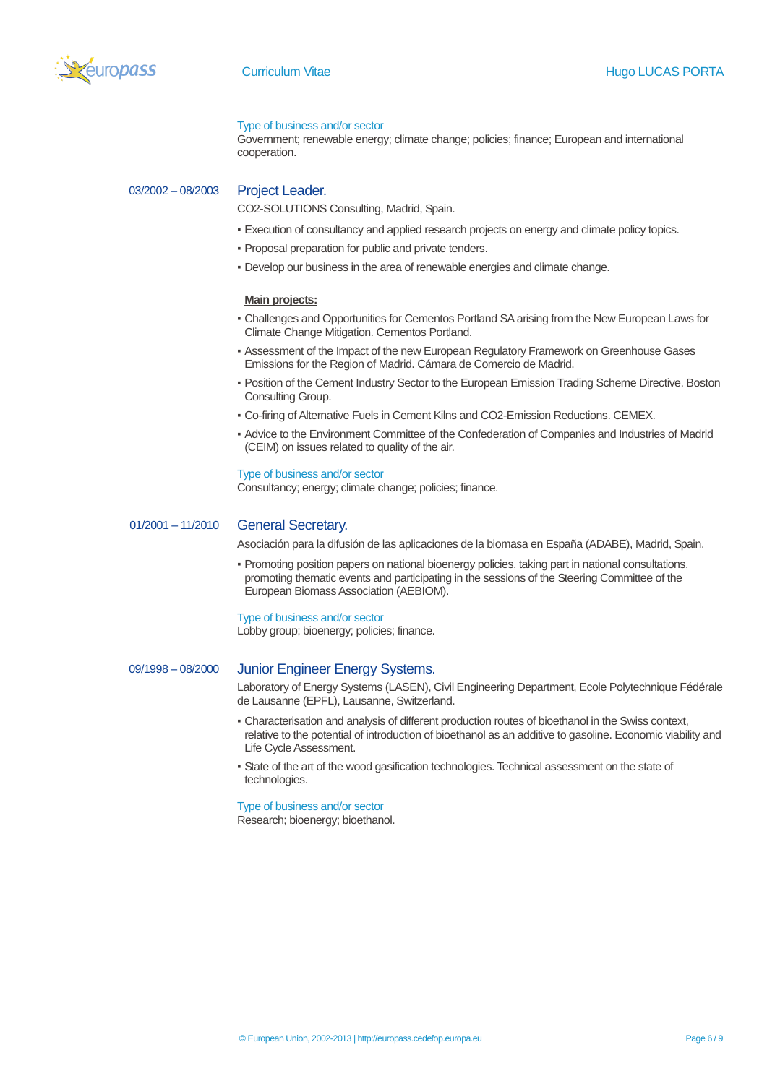

#### Type of business and/or sector

Government; renewable energy; climate change; policies; finance; European and international cooperation.

03/2002 – 08/2003 Project Leader.

CO2-SOLUTIONS Consulting, Madrid, Spain.

- Execution of consultancy and applied research projects on energy and climate policy topics.
- Proposal preparation for public and private tenders.
- Develop our business in the area of renewable energies and climate change.

#### **Main projects:**

- Challenges and Opportunities for Cementos Portland SA arising from the New European Laws for Climate Change Mitigation. Cementos Portland.
- Assessment of the Impact of the new European Regulatory Framework on Greenhouse Gases Emissions for the Region of Madrid. Cámara de Comercio de Madrid.
- Position of the Cement Industry Sector to the European Emission Trading Scheme Directive. Boston Consulting Group.
- Co-firing of Alternative Fuels in Cement Kilns and CO2-Emission Reductions. CEMEX.
- Advice to the Environment Committee of the Confederation of Companies and Industries of Madrid (CEIM) on issues related to quality of the air.

#### Type of business and/or sector

Consultancy; energy; climate change; policies; finance.

## 01/2001 – 11/2010 General Secretary.

Asociación para la difusión de las aplicaciones de la biomasa en España (ADABE), Madrid, Spain.

▪ Promoting position papers on national bioenergy policies, taking part in national consultations, promoting thematic events and participating in the sessions of the Steering Committee of the European Biomass Association (AEBIOM).

#### Type of business and/or sector

Lobby group; bioenergy; policies; finance.

## 09/1998 – 08/2000 Junior Engineer Energy Systems.

Laboratory of Energy Systems (LASEN), Civil Engineering Department, Ecole Polytechnique Fédérale de Lausanne (EPFL), Lausanne, Switzerland.

- Characterisation and analysis of different production routes of bioethanol in the Swiss context, relative to the potential of introduction of bioethanol as an additive to gasoline. Economic viability and Life Cycle Assessment.
- State of the art of the wood gasification technologies. Technical assessment on the state of technologies.

#### Type of business and/or sector

Research; bioenergy; bioethanol.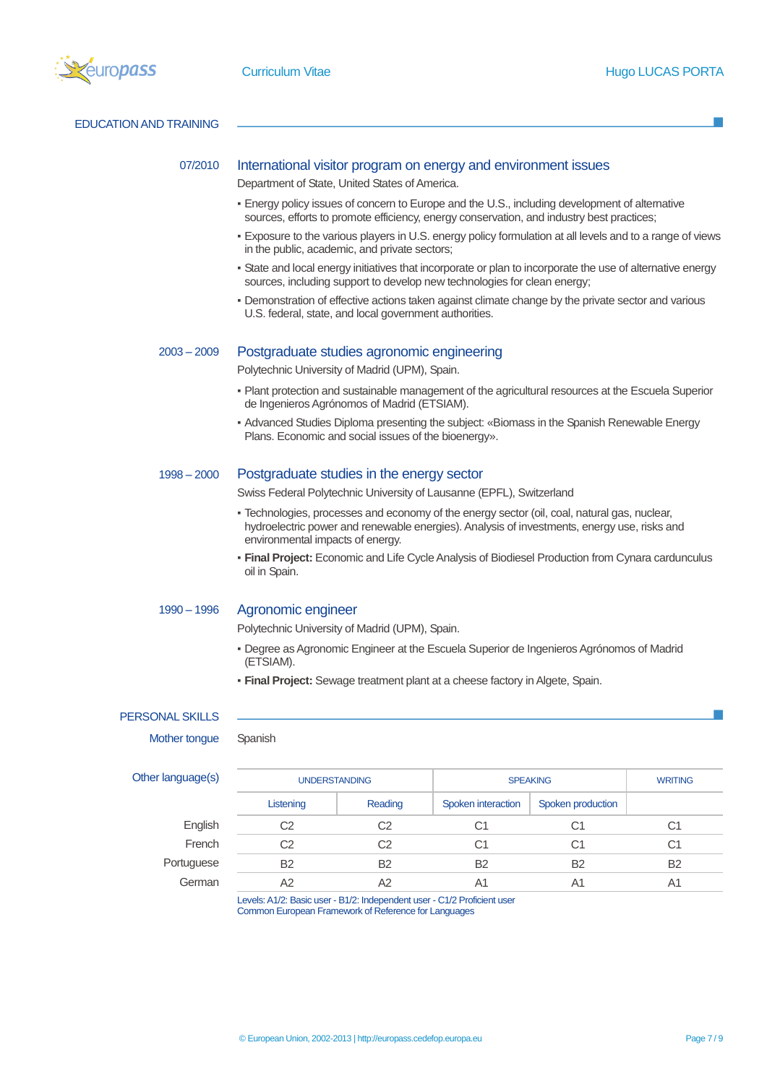

EDUCATION AND TRAINING

### 07/2010 International visitor program on energy and environment issues

Department of State, United States of America.

- Energy policy issues of concern to Europe and the U.S., including development of alternative sources, efforts to promote efficiency, energy conservation, and industry best practices;
- . Exposure to the various players in U.S. energy policy formulation at all levels and to a range of views in the public, academic, and private sectors;
- State and local energy initiatives that incorporate or plan to incorporate the use of alternative energy sources, including support to develop new technologies for clean energy;
- Demonstration of effective actions taken against climate change by the private sector and various U.S. federal, state, and local government authorities.

### 2003 – 2009 Postgraduate studies agronomic engineering

Polytechnic University of Madrid (UPM), Spain.

- Plant protection and sustainable management of the agricultural resources at the Escuela Superior de Ingenieros Agrónomos of Madrid (ETSIAM).
- Advanced Studies Diploma presenting the subject: «Biomass in the Spanish Renewable Energy Plans. Economic and social issues of the bioenergy».

## 1998 – 2000 Postgraduate studies in the energy sector

Swiss Federal Polytechnic University of Lausanne (EPFL), Switzerland

- Technologies, processes and economy of the energy sector (oil, coal, natural gas, nuclear, hydroelectric power and renewable energies). Analysis of investments, energy use, risks and environmental impacts of energy.
- **Final Project:** Economic and Life Cycle Analysis of Biodiesel Production from Cynara cardunculus oil in Spain.

#### 1990 – 1996 Agronomic engineer

Polytechnic University of Madrid (UPM), Spain.

- Degree as Agronomic Engineer at the Escuela Superior de Ingenieros Agrónomos of Madrid (ETSIAM).
- **Final Project:** Sewage treatment plant at a cheese factory in Algete, Spain.

## PERSONAL SKILLS

Mother tongue Spanish

| Other language(s) | <b>UNDERSTANDING</b> |           | <b>SPEAKING</b>    |                   | <b>WRITING</b> |
|-------------------|----------------------|-----------|--------------------|-------------------|----------------|
|                   | Listening            | Reading   | Spoken interaction | Spoken production |                |
| English           | C2                   | C2        | C1                 | C1                | C1             |
| French            | C2                   | C2        | C1                 | C1                | C1             |
| Portuguese        | <b>B2</b>            | <b>B2</b> | <b>B2</b>          | <b>B2</b>         | <b>B2</b>      |
| German            | A2                   | A2        | A1                 | A1                | A1             |

Levels: A1/2: Basic user - B1/2: Independent user - C1/2 Proficient user Common European Framework of Reference for Languages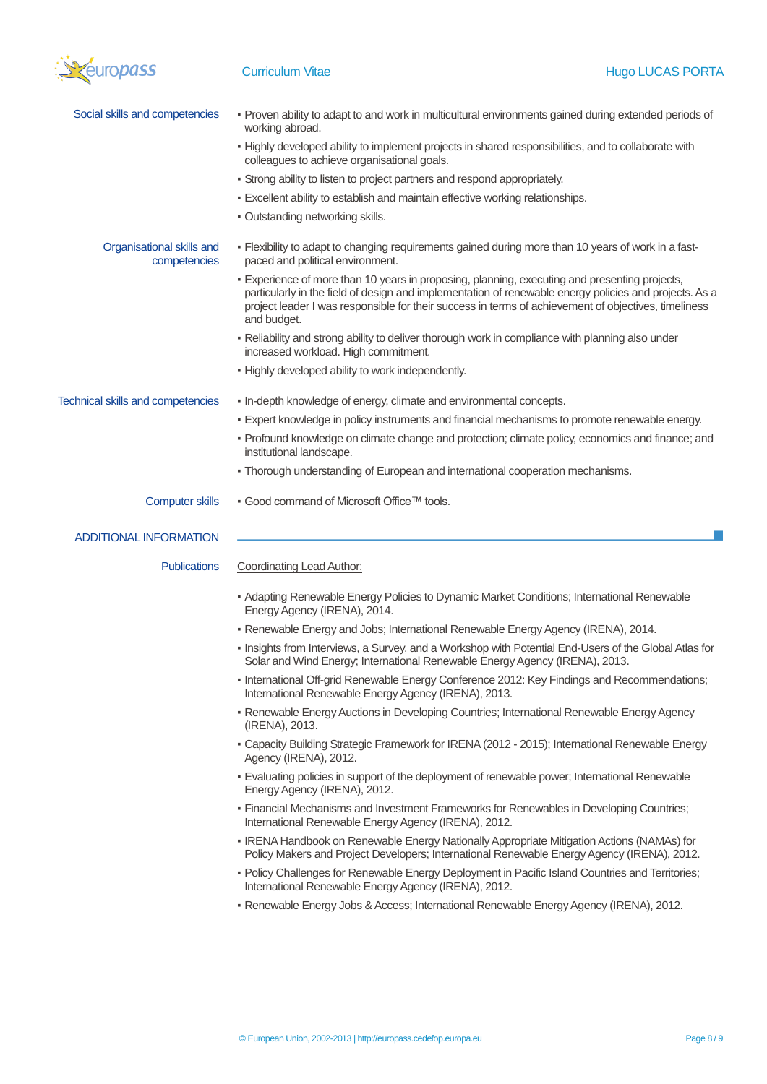

| Social skills and competencies            | - Proven ability to adapt to and work in multicultural environments gained during extended periods of<br>working abroad.                                                                                                                                                                                                       |
|-------------------------------------------|--------------------------------------------------------------------------------------------------------------------------------------------------------------------------------------------------------------------------------------------------------------------------------------------------------------------------------|
|                                           | - Highly developed ability to implement projects in shared responsibilities, and to collaborate with<br>colleagues to achieve organisational goals.                                                                                                                                                                            |
|                                           | - Strong ability to listen to project partners and respond appropriately.                                                                                                                                                                                                                                                      |
|                                           | . Excellent ability to establish and maintain effective working relationships.                                                                                                                                                                                                                                                 |
|                                           | . Outstanding networking skills.                                                                                                                                                                                                                                                                                               |
| Organisational skills and<br>competencies | - Flexibility to adapt to changing requirements gained during more than 10 years of work in a fast-<br>paced and political environment.                                                                                                                                                                                        |
|                                           | - Experience of more than 10 years in proposing, planning, executing and presenting projects,<br>particularly in the field of design and implementation of renewable energy policies and projects. As a<br>project leader I was responsible for their success in terms of achievement of objectives, timeliness<br>and budget. |
|                                           | . Reliability and strong ability to deliver thorough work in compliance with planning also under<br>increased workload. High commitment.                                                                                                                                                                                       |
|                                           | - Highly developed ability to work independently.                                                                                                                                                                                                                                                                              |
| <b>Technical skills and competencies</b>  | . In-depth knowledge of energy, climate and environmental concepts.                                                                                                                                                                                                                                                            |
|                                           | - Expert knowledge in policy instruments and financial mechanisms to promote renewable energy.                                                                                                                                                                                                                                 |
|                                           | - Profound knowledge on climate change and protection; climate policy, economics and finance; and<br>institutional landscape.                                                                                                                                                                                                  |
|                                           | - Thorough understanding of European and international cooperation mechanisms.                                                                                                                                                                                                                                                 |
| <b>Computer skills</b>                    | . Good command of Microsoft Office™ tools.                                                                                                                                                                                                                                                                                     |
|                                           |                                                                                                                                                                                                                                                                                                                                |
| <b>ADDITIONAL INFORMATION</b>             |                                                                                                                                                                                                                                                                                                                                |
| <b>Publications</b>                       | <b>Coordinating Lead Author:</b>                                                                                                                                                                                                                                                                                               |
|                                           | - Adapting Renewable Energy Policies to Dynamic Market Conditions; International Renewable<br>Energy Agency (IRENA), 2014.                                                                                                                                                                                                     |
|                                           | - Renewable Energy and Jobs; International Renewable Energy Agency (IRENA), 2014.                                                                                                                                                                                                                                              |
|                                           | - Insights from Interviews, a Survey, and a Workshop with Potential End-Users of the Global Atlas for<br>Solar and Wind Energy; International Renewable Energy Agency (IRENA), 2013.                                                                                                                                           |
|                                           | - International Off-grid Renewable Energy Conference 2012: Key Findings and Recommendations;<br>International Renewable Energy Agency (IRENA), 2013.                                                                                                                                                                           |
|                                           | - Renewable Energy Auctions in Developing Countries; International Renewable Energy Agency<br>(IRENA), 2013.                                                                                                                                                                                                                   |
|                                           | - Capacity Building Strategic Framework for IRENA (2012 - 2015); International Renewable Energy<br>Agency (IRENA), 2012.                                                                                                                                                                                                       |
|                                           | - Evaluating policies in support of the deployment of renewable power; International Renewable<br>Energy Agency (IRENA), 2012.                                                                                                                                                                                                 |
|                                           | - Financial Mechanisms and Investment Frameworks for Renewables in Developing Countries;<br>International Renewable Energy Agency (IRENA), 2012.                                                                                                                                                                               |
|                                           | . IRENA Handbook on Renewable Energy Nationally Appropriate Mitigation Actions (NAMAs) for<br>Policy Makers and Project Developers; International Renewable Energy Agency (IRENA), 2012.                                                                                                                                       |
|                                           | - Policy Challenges for Renewable Energy Deployment in Pacific Island Countries and Territories;<br>International Renewable Energy Agency (IRENA), 2012.                                                                                                                                                                       |